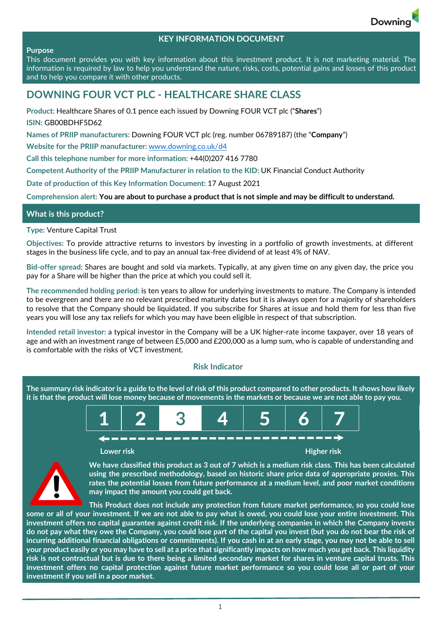

# **KEY INFORMATION DOCUMENT**

#### **Purpose**

This document provides you with key information about this investment product. It is not marketing material. The information is required by law to help you understand the nature, risks, costs, potential gains and losses of this product and to help you compare it with other products.

# **DOWNING FOUR VCT PLC ‐ HEALTHCARE SHARE CLASS**

**Product:** Healthcare Shares of 0.1 pence each issued by Downing FOUR VCT plc ("**Shares**") **ISIN:** GB00BDHF5D62

**Names of PRIIP manufacturers:** Downing FOUR VCT plc (reg. number 06789187) (the "**Company**")

**Website for the PRIIP manufacturer:** www.downing.co.uk/d4

**Call this telephone number for more information:** +44(0)207 416 7780

**Competent Authority of the PRIIP Manufacturer in relation to the KID:** UK Financial Conduct Authority

**Date of production of this Key Information Document:** 17 August 2021

Comprehension alert: You are about to purchase a product that is not simple and may be difficult to understand.

## **What is this product?**

**Type:** Venture Capital Trust

**Objectives:** To provide attractive returns to investors by investing in a portfolio of growth investments, at different stages in the business life cycle, and to pay an annual tax‐free dividend of at least 4% of NAV.

**Bid‐offer spread:** Shares are bought and sold via markets. Typically, at any given time on any given day, the price you pay for a Share will be higher than the price at which you could sell it.

**The recommended holding period:** is ten years to allow for underlying investments to mature. The Company is intended to be evergreen and there are no relevant prescribed maturity dates but it is always open for a majority of shareholders to resolve that the Company should be liquidated. If you subscribe for Shares at issue and hold them for less than five years you will lose any tax reliefs for which you may have been eligible in respect of that subscription.

**Intended retail investor:** a typical investor in the Company will be a UK higher‐rate income taxpayer, over 18 years of age and with an investment range of between £5,000 and £200,000 as a lump sum, who is capable of understanding and is comfortable with the risks of VCT investment.

#### **Risk Indicator**

The summary risk indicator is a guide to the level of risk of this product compared to other products. It shows how likely it is that the product will lose money because of movements in the markets or because we are not able to pay you.





We have classified this product as 3 out of 7 which is a medium risk class. This has been calculated **using the prescribed methodology, based on historic share price data of appropriate proxies. This rates the potential losses from future performance at a medium level, and poor market conditions may impact the amount you could get back.** 

**This Product does not include any protection from future market performance, so you could lose** some or all of your investment. If we are not able to pay what is owed, you could lose your entire investment. This investment offers no capital guarantee against credit risk. If the underlying companies in which the Company invests do not pay what they owe the Company, you could lose part of the capital you invest (but you do not bear the risk of incurring additional financial obligations or commitments). If you cash in at an early stage, you may not be able to sell your product easily or you may have to sell at a price that significantly impacts on how much you get back. This liquidity risk is not contractual but is due to there being a limited secondary market for shares in venture capital trusts. This investment offers no capital protection against future market performance so you could lose all or part of your **investment if you sell in a poor market.**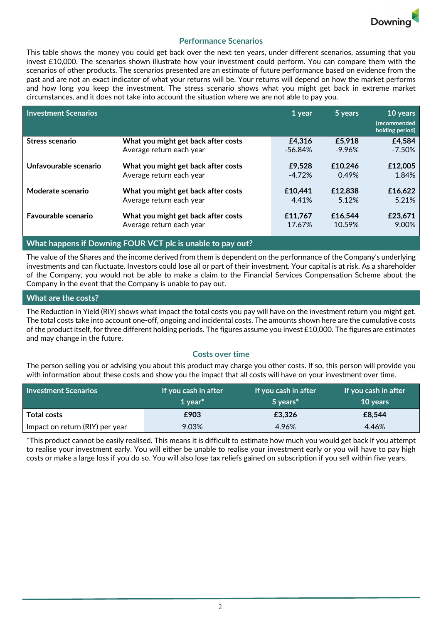

# **Performance Scenarios**

This table shows the money you could get back over the next ten years, under different scenarios, assuming that you invest £10,000. The scenarios shown illustrate how your investment could perform. You can compare them with the scenarios of other products. The scenarios presented are an estimate of future performance based on evidence from the past and are not an exact indicator of what your returns will be. Your returns will depend on how the market performs and how long you keep the investment. The stress scenario shows what you might get back in extreme market circumstances, and it does not take into account the situation where we are not able to pay you.

| <b>Investment Scenarios</b> |                                     | 1 year   | 5 years   | 10 years<br><i>(recommended</i><br>holding period) |
|-----------------------------|-------------------------------------|----------|-----------|----------------------------------------------------|
| Stress scenario             | What you might get back after costs | £4,316   | £5,918    | £4,584                                             |
|                             | Average return each year            | -56.84%  | $-9.96\%$ | $-7.50%$                                           |
| Unfavourable scenario       | What you might get back after costs | £9,528   | £10,246   | £12,005                                            |
|                             | Average return each year            | $-4.72%$ | 0.49%     | 1.84%                                              |
| Moderate scenario           | What you might get back after costs | £10.441  | £12,838   | £16,622                                            |
|                             | Average return each year            | 4.41%    | 5.12%     | 5.21%                                              |
| <b>Favourable scenario</b>  | What you might get back after costs | £11,767  | £16,544   | £23,671                                            |
|                             | Average return each year            | 17.67%   | 10.59%    | 9.00%                                              |

# **What happens if Downing FOUR VCT plc is unable to pay out?**

The value of the Shares and the income derived from them is dependent on the performance of the Company's underlying investments and can fluctuate. Investors could lose all or part of their investment. Your capital is at risk. As a shareholder of the Company, you would not be able to make a claim to the Financial Services Compensation Scheme about the Company in the event that the Company is unable to pay out.

## **What are the costs?**

The Reduction in Yield (RIY) shows what impact the total costs you pay will have on the investment return you might get. The total costs take into account one‐off, ongoing and incidental costs. The amounts shown here are the cumulative costs of the product itself, for three different holding periods. The figures assume you invest  $£10,000$ . The figures are estimates and may change in the future.

#### **Costs over time**

The person selling you or advising you about this product may charge you other costs. If so, this person will provide you with information about these costs and show you the impact that all costs will have on your investment over time.

| <b>Investment Scenarios</b>     | If you cash in after<br>1 vear $*$ | If you cash in after<br>5 years <sup>*</sup> | If you cash in after<br><b>10 years</b> |
|---------------------------------|------------------------------------|----------------------------------------------|-----------------------------------------|
| <b>Total costs</b>              | £903                               | £3.326                                       | £8,544                                  |
| Impact on return (RIY) per year | 9.03%                              | 4.96%                                        | 4.46%                                   |

\*This product cannot be easily realised. This means it is difficult to estimate how much you would get back if you attempt to realise your investment early. You will either be unable to realise your investment early or you will have to pay high costs or make a large loss if you do so. You will also lose tax reliefs gained on subscription if you sell within five years.